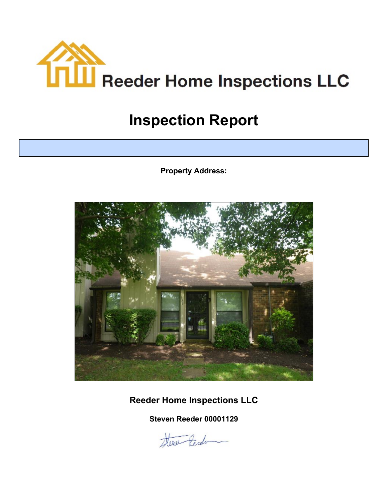<span id="page-0-0"></span>

# **Inspection Report**

**Property Address:**



**Reeder Home Inspections LLC**

**Steven Reeder 00001129**

Here tende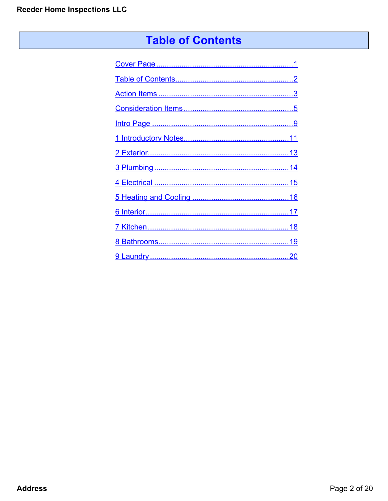# **Table of Contents**

<span id="page-1-0"></span>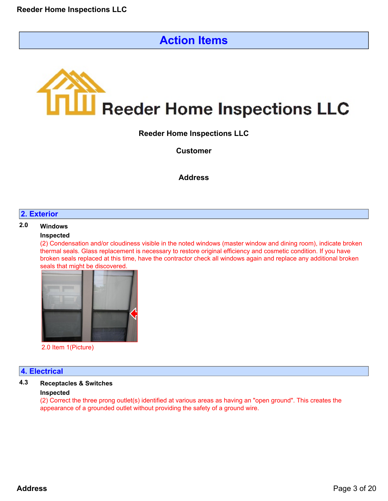# **Action Items**

# <span id="page-2-0"></span>**III** Reeder Home Inspections LLC

**Reeder Home Inspections LLC**

**Customer**

# **Address**

#### **2. Exterior**

# **2.0 Windows**

#### **Inspected**

(2) Condensation and/or cloudiness visible in the noted windows (master window and dining room), indicate broken thermal seals. Glass replacement is necessary to restore original efficiency and cosmetic condition. If you have broken seals replaced at this time, have the contractor check all windows again and replace any additional broken seals that might be discovered.



2.0 Item 1(Picture)

#### **4. Electrical**

# **4.3 Receptacles & Switches**

#### **Inspected**

(2) Correct the three prong outlet(s) identified at various areas as having an "open ground". This creates the appearance of a grounded outlet without providing the safety of a ground wire.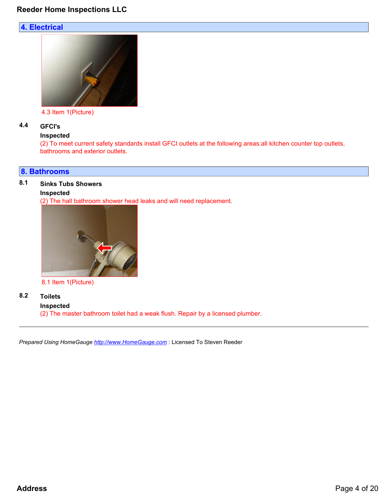# **4. Electrical**



4.3 Item 1(Picture)

## **4.4 GFCI's**

#### **Inspected**

(2) To meet current safety standards install GFCI outlets at the following areas:all kitchen counter top outlets, bathrooms and exterior outlets.

#### **8. Bathrooms**

## **8.1 Sinks Tubs Showers**

#### **Inspected**

(2) The hall bathroom shower head leaks and will need replacement.



8.1 Item 1(Picture)

# **8.2 Toilets**

**Inspected**

(2) The master bathroom toilet had a weak flush. Repair by a licensed plumber.

*Prepared Using HomeGauge <http://www.HomeGauge.com>* : Licensed To Steven Reeder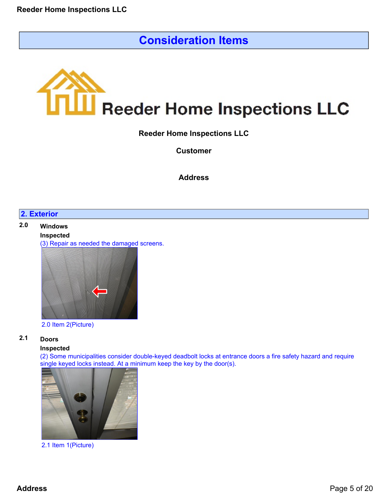# **Consideration Items**

<span id="page-4-0"></span>

**Reeder Home Inspections LLC**

**Customer**

**Address**

# **2. Exterior**

# **2.0 Windows Inspected** (3) Repair as needed the damaged screens.



#### 2.0 Item 2(Picture)

# **2.1 Doors**

#### **Inspected**

(2) Some municipalities consider double-keyed deadbolt locks at entrance doors a fire safety hazard and require single keyed locks instead. At a minimum keep the key by the door(s).



2.1 Item 1(Picture)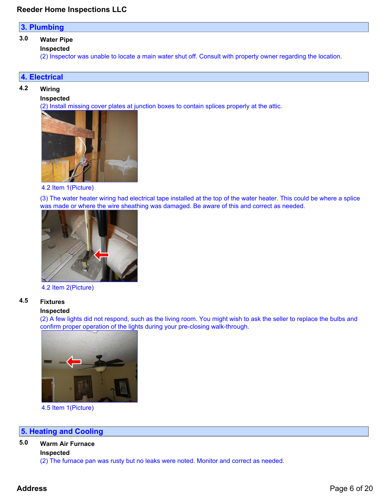## **3. Plumbing**

# **3.0 Water Pipe**

**Inspected**

(2) Inspector was unable to locate a main water shut off. Consult with property owner regarding the location.

#### **4. Electrical**

#### **4.2 Wiring**

#### **Inspected**

(2) Install missing cover plates at junction boxes to contain splices properly at the attic.



4.2 Item 1(Picture)

(3) The water heater wiring had electrical tape installed at the top of the water heater. This could be where a splice was made or where the wire sheathing was damaged. Be aware of this and correct as needed.



#### 4.2 Item 2(Picture)

#### **4.5 Fixtures**

#### **Inspected**

(2) A few lights did not respond, such as the living room. You might wish to ask the seller to replace the bulbs and confirm proper operation of the lights during your pre-closing walk-through.



4.5 Item 1(Picture)

#### **5. Heating and Cooling**

# **5.0 Warm Air Furnace**

**Inspected**

(2) The furnace pan was rusty but no leaks were noted. Monitor and correct as needed.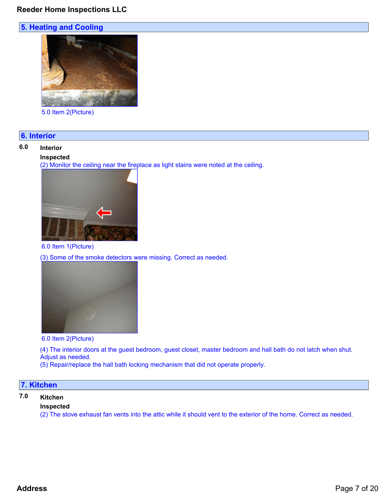# **5. Heating and Cooling**



5.0 Item 2(Picture)

#### **6. Interior**

#### **6.0 Interior**

#### **Inspected**

(2) Monitor the ceiling near the fireplace as light stains were noted at the ceiling.



#### 6.0 Item 1(Picture)

(3) Some of the smoke detectors were missing. Correct as needed.



6.0 Item 2(Picture)

(4) The interior doors at the guest bedroom, guest closet, master bedroom and hall bath do not latch when shut. Adjust as needed.

(5) Repair/replace the hall bath locking mechanism that did not operate properly.

## **7. Kitchen**

# **7.0 Kitchen**

#### **Inspected**

(2) The stove exhaust fan vents into the attic while it should vent to the exterior of the home. Correct as needed.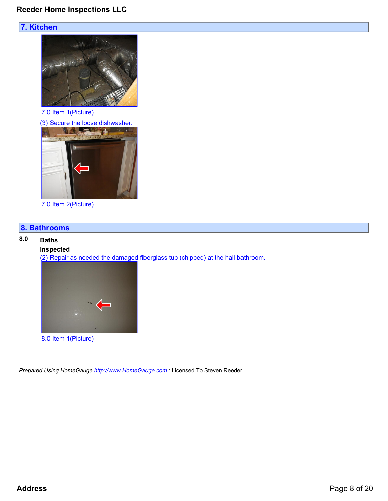# **7. Kitchen**



7.0 Item 1(Picture)



7.0 Item 2(Picture)

# **8. Bathrooms**

#### **8.0 Baths**

# **Inspected**

(2) Repair as needed the damaged fiberglass tub (chipped) at the hall bathroom.



*Prepared Using HomeGauge <http://www.HomeGauge.com>* : Licensed To Steven Reeder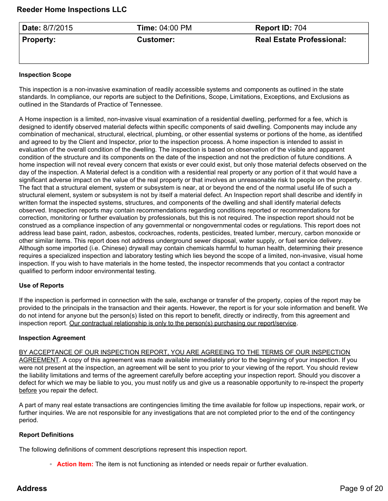<span id="page-8-0"></span>

| ' <b>Date:</b> 8/7/2015 | <b>Time: 04:00 PM</b> | Report ID: 704                   |
|-------------------------|-----------------------|----------------------------------|
| $\parallel$ Property:   | <b>Customer:</b>      | <b>Real Estate Professional:</b> |

#### **Inspection Scope**

This inspection is a non-invasive examination of readily accessible systems and components as outlined in the state standards. In compliance, our reports are subject to the Definitions, Scope, Limitations, Exceptions, and Exclusions as outlined in the Standards of Practice of Tennessee.

A Home inspection is a limited, non-invasive visual examination of a residential dwelling, performed for a fee, which is designed to identify observed material defects within specific components of said dwelling. Components may include any combination of mechanical, structural, electrical, plumbing, or other essential systems or portions of the home, as identified and agreed to by the Client and Inspector, prior to the inspection process. A home inspection is intended to assist in evaluation of the overall condition of the dwelling. The inspection is based on observation of the visible and apparent condition of the structure and its components on the date of the inspection and not the prediction of future conditions. A home inspection will not reveal every concern that exists or ever could exist, but only those material defects observed on the day of the inspection. A Material defect is a condition with a residential real property or any portion of it that would have a significant adverse impact on the value of the real property or that involves an unreasonable risk to people on the property. The fact that a structural element, system or subsystem is near, at or beyond the end of the normal useful life of such a structural element, system or subsystem is not by itself a material defect. An Inspection report shall describe and identify in written format the inspected systems, structures, and components of the dwelling and shall identify material defects observed. Inspection reports may contain recommendations regarding conditions reported or recommendations for correction, monitoring or further evaluation by professionals, but this is not required. The inspection report should not be construed as a compliance inspection of any governmental or nongovernmental codes or regulations. This report does not address lead base paint, radon, asbestos, cockroaches, rodents, pesticides, treated lumber, mercury, carbon monoxide or other similar items. This report does not address underground sewer disposal, water supply, or fuel service delivery. Although some imported (i.e. Chinese) drywall may contain chemicals harmful to human health, determining their presence requires a specialized inspection and laboratory testing which lies beyond the scope of a limited, non-invasive, visual home inspection. If you wish to have materials in the home tested, the inspector recommends that you contact a contractor qualified to perform indoor environmental testing.

#### **Use of Reports**

If the inspection is performed in connection with the sale, exchange or transfer of the property, copies of the report may be provided to the principals in the transaction and their agents. However, the report is for your sole information and benefit. We do not intend for anyone but the person(s) listed on this report to benefit, directly or indirectly, from this agreement and inspection report. Our contractual relationship is only to the person(s) purchasing our report/service.

#### **Inspection Agreement**

BY ACCEPTANCE OF OUR INSPECTION REPORT, YOU ARE AGREEING TO THE TERMS OF OUR INSPECTION AGREEMENT. A copy of this agreement was made available immediately prior to the beginning of your inspection. If you were not present at the inspection, an agreement will be sent to you prior to your viewing of the report. You should review the liability limitations and terms of the agreement carefully before accepting your inspection report. Should you discover a defect for which we may be liable to you, you must notify us and give us a reasonable opportunity to re-inspect the property before you repair the defect.

A part of many real estate transactions are contingencies limiting the time available for follow up inspections, repair work, or further inquiries. We are not responsible for any investigations that are not completed prior to the end of the contingency period.

#### **Report Definitions**

The following definitions of comment descriptions represent this inspection report.

◦ **Action Item:** The item is not functioning as intended or needs repair or further evaluation.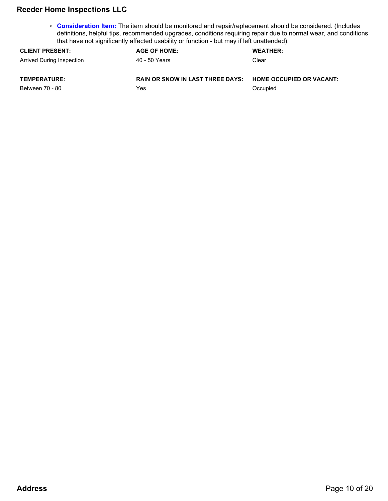◦ **Consideration Item:** The item should be monitored and repair/replacement should be considered. (Includes definitions, helpful tips, recommended upgrades, conditions requiring repair due to normal wear, and conditions that have not significantly affected usability or function - but may if left unattended).

| <b>CLIENT PRESENT:</b>    | <b>AGE OF HOME:</b>                     | <b>WEATHER:</b>               |
|---------------------------|-----------------------------------------|-------------------------------|
| Arrived During Inspection | 40 - 50 Years                           | Clear                         |
| <b>TEMPERATURE:</b>       | <b>RAIN OR SNOW IN LAST THREE DAYS:</b> | <b>HOME OCCUPIED OR VACAN</b> |

Between 70 - 80

Yes

**HOME OCCUPIED OR VACANT:**

**Occupied**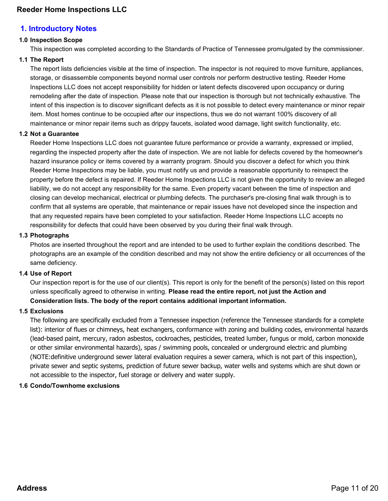# <span id="page-10-0"></span>**1. Introductory Notes**

## **1.0 Inspection Scope**

This inspection was completed according to the Standards of Practice of Tennessee promulgated by the commissioner.

#### **1.1 The Report**

The report lists deficiencies visible at the time of inspection. The inspector is not required to move furniture, appliances, storage, or disassemble components beyond normal user controls nor perform destructive testing. Reeder Home Inspections LLC does not accept responsibility for hidden or latent defects discovered upon occupancy or during remodeling after the date of inspection. Please note that our inspection is thorough but not technically exhaustive. The intent of this inspection is to discover significant defects as it is not possible to detect every maintenance or minor repair item. Most homes continue to be occupied after our inspections, thus we do not warrant 100% discovery of all maintenance or minor repair items such as drippy faucets, isolated wood damage, light switch functionality, etc.

#### **1.2 Not a Guarantee**

Reeder Home Inspections LLC does not guarantee future performance or provide a warranty, expressed or implied, regarding the inspected property after the date of inspection. We are not liable for defects covered by the homeowner's hazard insurance policy or items covered by a warranty program. Should you discover a defect for which you think Reeder Home Inspections may be liable, you must notify us and provide a reasonable opportunity to reinspect the property before the defect is repaired. If Reeder Home Inspections LLC is not given the opportunity to review an alleged liability, we do not accept any responsibility for the same. Even property vacant between the time of inspection and closing can develop mechanical, electrical or plumbing defects. The purchaser's pre-closing final walk through is to confirm that all systems are operable, that maintenance or repair issues have not developed since the inspection and that any requested repairs have been completed to your satisfaction. Reeder Home Inspections LLC accepts no responsibility for defects that could have been observed by you during their final walk through.

#### **1.3 Photographs**

Photos are inserted throughout the report and are intended to be used to further explain the conditions described. The photographs are an example of the condition described and may not show the entire deficiency or all occurrences of the same deficiency.

#### **1.4 Use of Report**

Our inspection report is for the use of our client(s). This report is only for the benefit of the person(s) listed on this report unless specifically agreed to otherwise in writing. **Please read the entire report, not just the Action and Consideration lists. The body of the report contains additional important information.**

#### **1.5 Exclusions**

The following are specifically excluded from a Tennessee inspection (reference the Tennessee standards for a complete list): interior of flues or chimneys, heat exchangers, conformance with zoning and building codes, environmental hazards (lead-based paint, mercury, radon asbestos, cockroaches, pesticides, treated lumber, fungus or mold, carbon monoxide or other similar environmental hazards), spas / swimming pools, concealed or underground electric and plumbing (NOTE:definitive underground sewer lateral evaluation requires a sewer camera, which is not part of this inspection), private sewer and septic systems, prediction of future sewer backup, water wells and systems which are shut down or not accessible to the inspector, fuel storage or delivery and water supply.

#### **1.6 Condo/Townhome exclusions**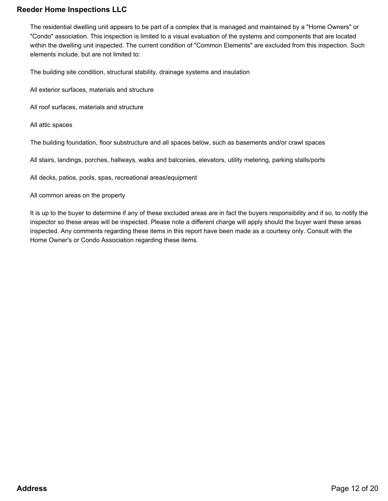The residential dwelling unit appears to be part of a complex that is managed and maintained by a "Home Owners" or "Condo" association. This inspection is limited to a visual evaluation of the systems and components that are located within the dwelling unit inspected. The current condition of "Common Elements" are excluded from this inspection. Such elements include, but are not limited to:

The building site condition, structural stability, drainage systems and insulation

- All exterior surfaces, materials and structure
- All roof surfaces, materials and structure
- All attic spaces

The building foundation, floor substructure and all spaces below, such as basements and/or crawl spaces

All stairs, landings, porches, hallways, walks and balconies, elevators, utility metering, parking stalls/ports

All decks, patios, pools, spas, recreational areas/equipment

#### All common areas on the property

It is up to the buyer to determine if any of these excluded areas are in fact the buyers responsibility and if so, to notify the inspector so these areas will be inspected. Please note a different charge will apply should the buyer want these areas inspected. Any comments regarding these items in this report have been made as a courtesy only. Consult with the Home Owner's or Condo Association regarding these items.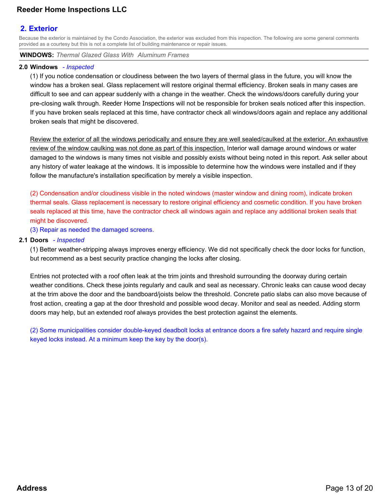# <span id="page-12-0"></span>**2. Exterior**

Because the exterior is maintained by the Condo Association, the exterior was excluded from this inspection. The following are some general comments provided as a courtesy but this is not a complete list of building maintenance or repair issues.

**WINDOWS:** *Thermal Glazed Glass With Aluminum Frames*

#### **2.0 Windows** *- Inspected*

(1) If you notice condensation or cloudiness between the two layers of thermal glass in the future, you will know the window has a broken seal. Glass replacement will restore original thermal efficiency. Broken seals in many cases are difficult to see and can appear suddenly with a change in the weather. Check the windows/doors carefully during your pre-closing walk through. Reeder Home Inspections will not be responsible for broken seals noticed after this inspection. If you have broken seals replaced at this time, have contractor check all windows/doors again and replace any additional broken seals that might be discovered.

Review the exterior of all the windows periodically and ensure they are well sealed/caulked at the exterior. An exhaustive review of the window caulking was not done as part of this inspection. Interior wall damage around windows or water damaged to the windows is many times not visible and possibly exists without being noted in this report. Ask seller about any history of water leakage at the windows. It is impossible to determine how the windows were installed and if they follow the manufacture's installation specification by merely a visible inspection.

(2) Condensation and/or cloudiness visible in the noted windows (master window and dining room), indicate broken thermal seals. Glass replacement is necessary to restore original efficiency and cosmetic condition. If you have broken seals replaced at this time, have the contractor check all windows again and replace any additional broken seals that might be discovered.

(3) Repair as needed the damaged screens.

#### **2.1 Doors** *- Inspected*

(1) Better weather-stripping always improves energy efficiency. We did not specifically check the door locks for function, but recommend as a best security practice changing the locks after closing.

Entries not protected with a roof often leak at the trim joints and threshold surrounding the doorway during certain weather conditions. Check these joints regularly and caulk and seal as necessary. Chronic leaks can cause wood decay at the trim above the door and the bandboard/joists below the threshold. Concrete patio slabs can also move because of frost action, creating a gap at the door threshold and possible wood decay. Monitor and seal as needed. Adding storm doors may help, but an extended roof always provides the best protection against the elements.

(2) Some municipalities consider double-keyed deadbolt locks at entrance doors a fire safety hazard and require single keyed locks instead. At a minimum keep the key by the door(s).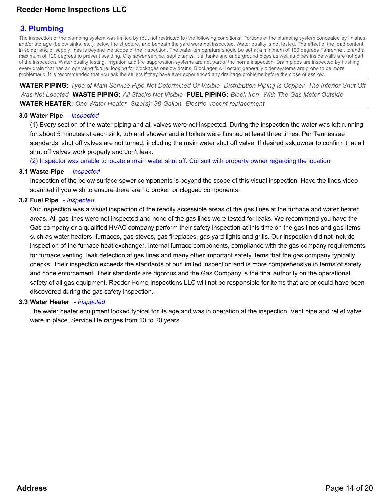# <span id="page-13-0"></span>**3. Plumbing**

The inspection of the plumbing system was limited by (but not restricted to) the following conditions: Portions of the plumbing system concealed by finishes and/or storage (below sinks, etc.), below the structure, and beneath the yard were not inspected. Water quality is not tested. The effect of the lead content in solder and or supply lines is beyond the scope of the inspection. The water temperature should be set at a minimum of 100 degrees Fahrenheit to and a maximum of 120 degrees to prevent scalding. City sewer service, septic tanks, fuel tanks and underground pipes as well as pipes inside walls are not part of the inspection. Water quality testing, irrigation and fire suppression systems are not part of the home inspection. Drain pipes are inspected by flushing every drain that has an operating fixture, looking for blockages or slow drains. Blockages will occur; generally older systems are prone to be more problematic. It is recommended that you ask the sellers if they have ever experienced any drainage problems before the close of escrow.

**WATER PIPING:** *Type of Main Service Pipe Not Determined Or Visible Distribution Piping Is Copper The Interior Shut Off Was Not Located* **WASTE PIPING:** *All Stacks Not Visible* **FUEL PIPING:** *Black Iron With The Gas Meter Outside* **WATER HEATER:** *One Water Heater Size(s): 38-Gallon Electric recent replacement*

#### **3.0 Water Pipe** *- Inspected*

(1) Every section of the water piping and all valves were not inspected. During the inspection the water was left running for about 5 minutes at each sink, tub and shower and all toilets were flushed at least three times. Per Tennessee standards, shut off valves are not turned, including the main water shut off valve. If desired ask owner to confirm that all shut off valves work properly and don't leak.

(2) Inspector was unable to locate a main water shut off. Consult with property owner regarding the location.

#### **3.1 Waste Pipe** *- Inspected*

Inspection of the below surface sewer components is beyond the scope of this visual inspection. Have the lines video scanned if you wish to ensure there are no broken or clogged components.

#### **3.2 Fuel Pipe** *- Inspected*

Our inspection was a visual inspection of the readily accessible areas of the gas lines at the furnace and water heater areas. All gas lines were not inspected and none of the gas lines were tested for leaks. We recommend you have the Gas company or a qualified HVAC company perform their safety inspection at this time on the gas lines and gas items such as water heaters, furnaces, gas stoves, gas fireplaces, gas yard lights and grills. Our inspection did not include inspection of the furnace heat exchanger, internal furnace components, compliance with the gas company requirements for furnace venting, leak detection at gas lines and many other important safety items that the gas company typically checks. Their inspection exceeds the standards of our limited inspection and is more comprehensive in terms of safety and code enforcement. Their standards are rigorous and the Gas Company is the final authority on the operational safety of all gas equipment. Reeder Home Inspections LLC will not be responsible for items that are or could have been discovered during the gas safety inspection.

#### **3.3 Water Heater** *- Inspected*

The water heater equipment looked typical for its age and was in operation at the inspection. Vent pipe and relief valve were in place. Service life ranges from 10 to 20 years.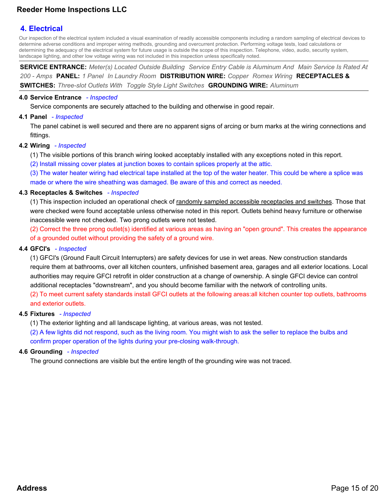# <span id="page-14-0"></span>**4. Electrical**

Our inspection of the electrical system included a visual examination of readily accessible components including a random sampling of electrical devices to determine adverse conditions and improper wiring methods, grounding and overcurrent protection. Performing voltage tests, load calculations or determining the adequacy of the electrical system for future usage is outside the scope of this inspection. Telephone, video, audio, security system, landscape lighting, and other low voltage wiring was not included in this inspection unless specifically noted.

**SERVICE ENTRANCE:** *Meter(s) Located Outside Building Service Entry Cable is Aluminum And Main Service Is Rated At 200 - Amps* **PANEL:** *1 Panel In Laundry Room* **DISTRIBUTION WIRE:** *Copper Romex Wiring* **RECEPTACLES & SWITCHES:** *Three-slot Outlets With Toggle Style Light Switches* **GROUNDING WIRE:** *Aluminum*

#### **4.0 Service Entrance** *- Inspected*

Service components are securely attached to the building and otherwise in good repair.

#### **4.1 Panel** *- Inspected*

The panel cabinet is well secured and there are no apparent signs of arcing or burn marks at the wiring connections and fittings.

#### **4.2 Wiring** *- Inspected*

- (1) The visible portions of this branch wiring looked acceptably installed with any exceptions noted in this report.
- (2) Install missing cover plates at junction boxes to contain splices properly at the attic.

(3) The water heater wiring had electrical tape installed at the top of the water heater. This could be where a splice was made or where the wire sheathing was damaged. Be aware of this and correct as needed.

#### **4.3 Receptacles & Switches** *- Inspected*

(1) This inspection included an operational check of randomly sampled accessible receptacles and switches. Those that were checked were found acceptable unless otherwise noted in this report. Outlets behind heavy furniture or otherwise inaccessible were not checked. Two prong outlets were not tested.

(2) Correct the three prong outlet(s) identified at various areas as having an "open ground". This creates the appearance of a grounded outlet without providing the safety of a ground wire.

#### **4.4 GFCI's** *- Inspected*

(1) GFCI's (Ground Fault Circuit Interrupters) are safety devices for use in wet areas. New construction standards require them at bathrooms, over all kitchen counters, unfinished basement area, garages and all exterior locations. Local authorities may require GFCI retrofit in older construction at a change of ownership. A single GFCI device can control additional receptacles "downstream", and you should become familiar with the network of controlling units.

(2) To meet current safety standards install GFCI outlets at the following areas:all kitchen counter top outlets, bathrooms and exterior outlets.

#### **4.5 Fixtures** *- Inspected*

(1) The exterior lighting and all landscape lighting, at various areas, was not tested.

(2) A few lights did not respond, such as the living room. You might wish to ask the seller to replace the bulbs and confirm proper operation of the lights during your pre-closing walk-through.

#### **4.6 Grounding** *- Inspected*

The ground connections are visible but the entire length of the grounding wire was not traced.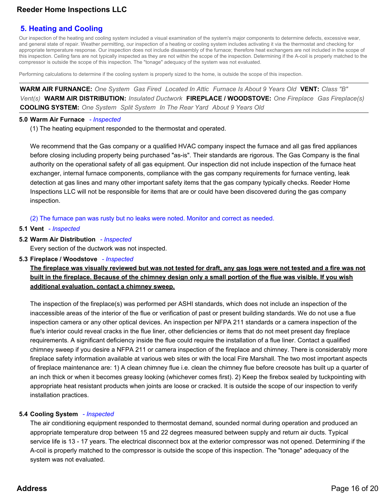# <span id="page-15-0"></span>**5. Heating and Cooling**

Our inspection of the heating and cooling system included a visual examination of the system's major components to determine defects, excessive wear, and general state of repair. Weather permitting, our inspection of a heating or cooling system includes activating it via the thermostat and checking for appropriate temperature response. Our inspection does not include disassembly of the furnace; therefore heat exchangers are not included in the scope of this inspection. Ceiling fans are not typically inspected as they are not within the scope of the inspection. Determining if the A-coil is properly matched to the compressor is outside the scope of this inspection. The "tonage" adequacy of the system was not evaluated.

Performing calculations to determine if the cooling system is properly sized to the home, is outside the scope of this inspection.

**WARM AIR FURNANCE:** *One System Gas Fired Located In Attic Furnace Is About 9 Years Old* **VENT:** *Class "B" Vent(s)* **WARM AIR DISTRIBUTION:** *Insulated Ductwork* **FIREPLACE / WOODSTOVE:** *One Fireplace Gas Fireplace(s)* **COOLING SYSTEM:** *One System Split System In The Rear Yard About 9 Years Old*

#### **5.0 Warm Air Furnace** *- Inspected*

(1) The heating equipment responded to the thermostat and operated.

We recommend that the Gas company or a qualified HVAC company inspect the furnace and all gas fired appliances before closing including property being purchased "as-is". Their standards are rigorous. The Gas Company is the final authority on the operational safety of all gas equipment. Our inspection did not include inspection of the furnace heat exchanger, internal furnace components, compliance with the gas company requirements for furnace venting, leak detection at gas lines and many other important safety items that the gas company typically checks. Reeder Home Inspections LLC will not be responsible for items that are or could have been discovered during the gas company inspection.

(2) The furnace pan was rusty but no leaks were noted. Monitor and correct as needed.

#### **5.1 Vent** *- Inspected*

**5.2 Warm Air Distribution** *- Inspected*

Every section of the ductwork was not inspected.

**5.3 Fireplace / Woodstove** *- Inspected*

**The fireplace was visually reviewed but was not tested for draft, any gas logs were not tested and a fire was not built in the fireplace. Because of the chimney design only a small portion of the flue was visible. If you wish additional evaluation, contact a chimney sweep.**

The inspection of the fireplace(s) was performed per ASHI standards, which does not include an inspection of the inaccessible areas of the interior of the flue or verification of past or present building standards. We do not use a flue inspection camera or any other optical devices. An inspection per NFPA 211 standards or a camera inspection of the flue's interior could reveal cracks in the flue liner, other deficiencies or items that do not meet present day fireplace requirements. A significant deficiency inside the flue could require the installation of a flue liner. Contact a qualified chimney sweep if you desire a NFPA 211 or camera inspection of the fireplace and chimney. There is considerably more fireplace safety information available at various web sites or with the local Fire Marshall. The two most important aspects of fireplace maintenance are: 1) A clean chimney flue i.e. clean the chimney flue before creosote has built up a quarter of an inch thick or when it becomes greasy looking (whichever comes first). 2) Keep the firebox sealed by tuckpointing with appropriate heat resistant products when joints are loose or cracked. It is outside the scope of our inspection to verify installation practices.

#### **5.4 Cooling System** *- Inspected*

The air conditioning equipment responded to thermostat demand, sounded normal during operation and produced an appropriate temperature drop between 15 and 22 degrees measured between supply and return air ducts. Typical service life is 13 - 17 years. The electrical disconnect box at the exterior compressor was not opened. Determining if the A-coil is properly matched to the compressor is outside the scope of this inspection. The "tonage" adequacy of the system was not evaluated.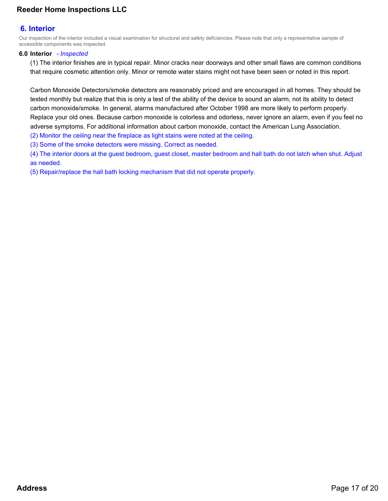# <span id="page-16-0"></span>**6. Interior**

Our inspection of the interior included a visual examination for structural and safety deficiencies. Please note that only a representative sample of accessible components was inspected.

#### **6.0 Interior** *- Inspected*

(1) The interior finishes are in typical repair. Minor cracks near doorways and other small flaws are common conditions that require cosmetic attention only. Minor or remote water stains might not have been seen or noted in this report.

Carbon Monoxide Detectors/smoke detectors are reasonably priced and are encouraged in all homes. They should be tested monthly but realize that this is only a test of the ability of the device to sound an alarm, not its ability to detect carbon monoxide/smoke. In general, alarms manufactured after October 1998 are more likely to perform properly. Replace your old ones. Because carbon monoxide is colorless and odorless, never ignore an alarm, even if you feel no adverse symptoms. For additional information about carbon monoxide, contact the American Lung Association. (2) Monitor the ceiling near the fireplace as light stains were noted at the ceiling.

(3) Some of the smoke detectors were missing. Correct as needed.

(4) The interior doors at the guest bedroom, guest closet, master bedroom and hall bath do not latch when shut. Adjust as needed.

(5) Repair/replace the hall bath locking mechanism that did not operate properly.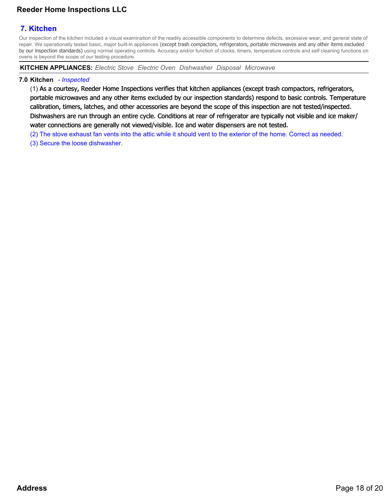# <span id="page-17-0"></span>**7. Kitchen**

Our inspection of the kitchen included a visual examination of the readily accessible components to determine defects, excessive wear, and general state of repair. We operationally tested basic, major built-in appliances (except trash compactors, refrigerators, portable microwaves and any other items excluded by our inspection standards) using normal operating controls. Accuracy and/or function of clocks, timers, temperature controls and self cleaning functions on ovens is beyond the scope of our testing procedure.

**KITCHEN APPLIANCES:** *Electric Stove Electric Oven Dishwasher Disposal Microwave*

#### **7.0 Kitchen** *- Inspected*

(1) As a courtesy, Reeder Home Inspections verifies that kitchen appliances (except trash compactors, refrigerators, portable microwaves and any other items excluded by our inspection standards) respond to basic controls. Temperature calibration, timers, latches, and other accessories are beyond the scope of this inspection are not tested/inspected. Dishwashers are run through an entire cycle. Conditions at rear of refrigerator are typically not visible and ice maker/ water connections are generally not viewed/visible. Ice and water dispensers are not tested.

(2) The stove exhaust fan vents into the attic while it should vent to the exterior of the home. Correct as needed.

(3) Secure the loose dishwasher.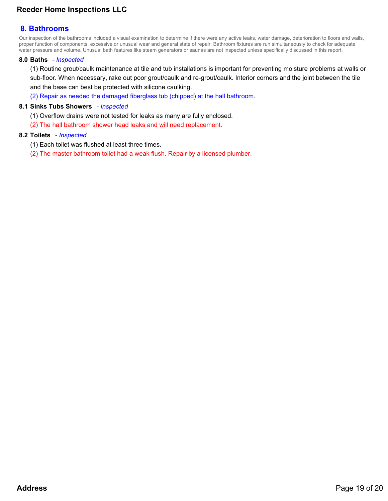# <span id="page-18-0"></span>**8. Bathrooms**

Our inspection of the bathrooms included a visual examination to determine if there were any active leaks, water damage, deterioration to floors and walls, proper function of components, excessive or unusual wear and general state of repair. Bathroom fixtures are run simultaneously to check for adequate water pressure and volume. Unusual bath features like steam generators or saunas are not inspected unless specifically discussed in this report.

#### **8.0 Baths** *- Inspected*

(1) Routine grout/caulk maintenance at tile and tub installations is important for preventing moisture problems at walls or sub-floor. When necessary, rake out poor grout/caulk and re-grout/caulk. Interior corners and the joint between the tile and the base can best be protected with silicone caulking.

(2) Repair as needed the damaged fiberglass tub (chipped) at the hall bathroom.

#### **8.1 Sinks Tubs Showers** *- Inspected*

- (1) Overflow drains were not tested for leaks as many are fully enclosed.
- (2) The hall bathroom shower head leaks and will need replacement.

#### **8.2 Toilets** *- Inspected*

- (1) Each toilet was flushed at least three times.
- (2) The master bathroom toilet had a weak flush. Repair by a licensed plumber.